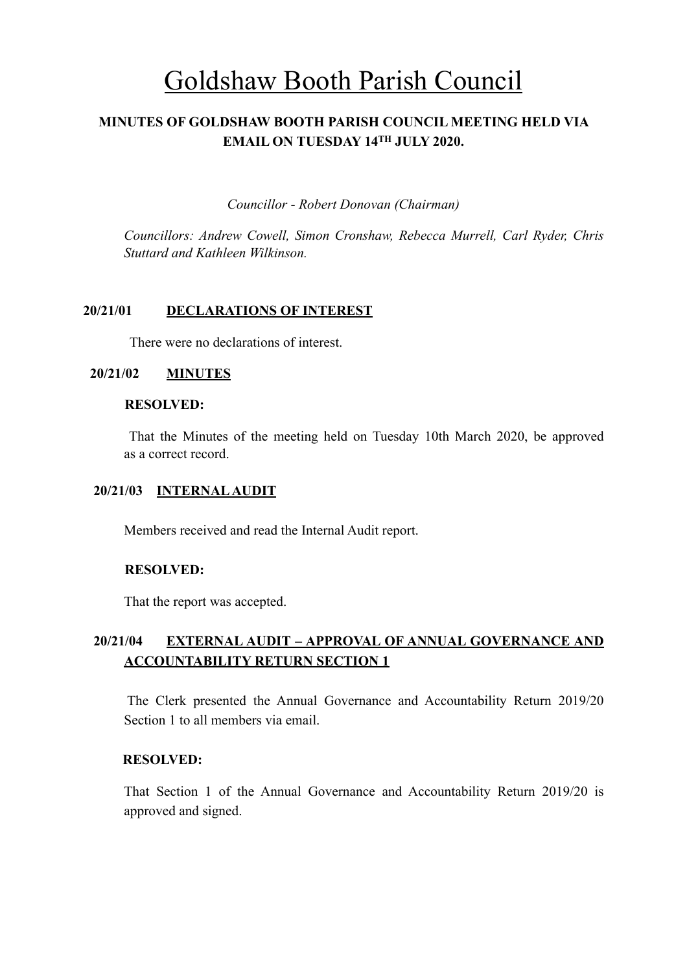# Goldshaw Booth Parish Council

# **MINUTES OF GOLDSHAW BOOTH PARISH COUNCIL MEETING HELD VIA EMAIL ON TUESDAY 14TH JULY 2020.**

*Councillor* - *Robert Donovan (Chairman)* 

*Councillors: Andrew Cowell, Simon Cronshaw, Rebecca Murrell, Carl Ryder, Chris Stuttard and Kathleen Wilkinson.*

## **20/21/01 DECLARATIONS OF INTEREST**

There were no declarations of interest.

## **20/21/02 MINUTES**

#### **RESOLVED:**

 That the Minutes of the meeting held on Tuesday 10th March 2020, be approved as a correct record.

## **20/21/03 INTERNAL AUDIT**

Members received and read the Internal Audit report.

## **RESOLVED:**

That the report was accepted.

## **20/21/04 EXTERNAL AUDIT – APPROVAL OF ANNUAL GOVERNANCE AND ACCOUNTABILITY RETURN SECTION 1**

 The Clerk presented the Annual Governance and Accountability Return 2019/20 Section 1 to all members via email.

## **RESOLVED:**

That Section 1 of the Annual Governance and Accountability Return 2019/20 is approved and signed.